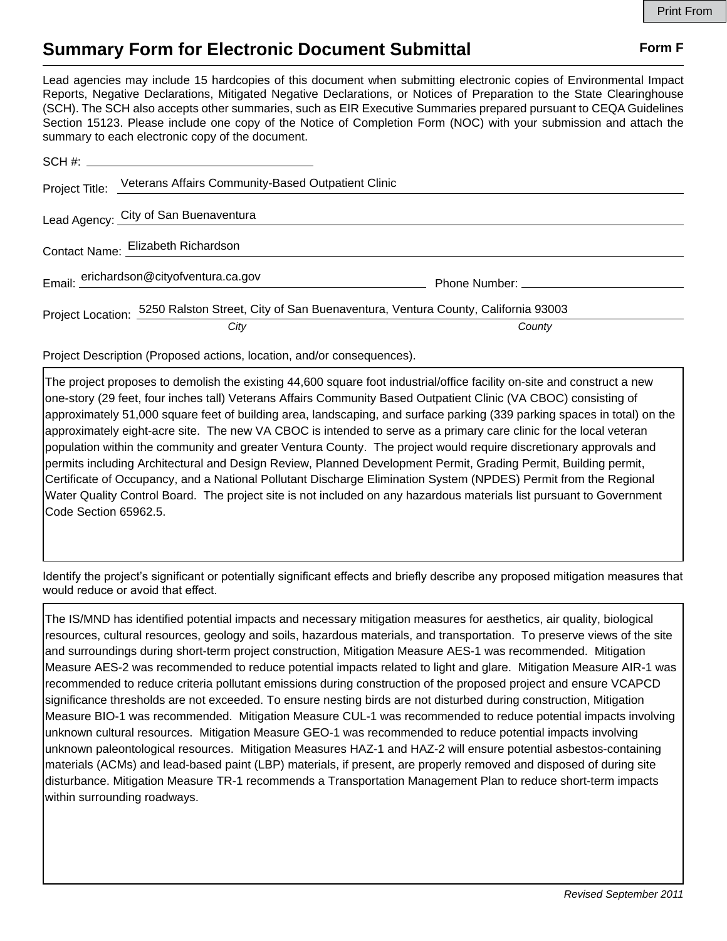## **Summary Form for Electronic Document Submittal Form F Form F**

Lead agencies may include 15 hardcopies of this document when submitting electronic copies of Environmental Impact Reports, Negative Declarations, Mitigated Negative Declarations, or Notices of Preparation to the State Clearinghouse (SCH). The SCH also accepts other summaries, such as EIR Executive Summaries prepared pursuant to CEQA Guidelines Section 15123. Please include one copy of the Notice of Completion Form (NOC) with your submission and attach the summary to each electronic copy of the document.

|                                    | Project Title: Veterans Affairs Community-Based Outpatient Clinic                                 |                                                                                                                                                                                                                                     |
|------------------------------------|---------------------------------------------------------------------------------------------------|-------------------------------------------------------------------------------------------------------------------------------------------------------------------------------------------------------------------------------------|
|                                    | Lead Agency: City of San Buenaventura                                                             |                                                                                                                                                                                                                                     |
| Contact Name: Elizabeth Richardson |                                                                                                   |                                                                                                                                                                                                                                     |
|                                    | Email: erichardson@cityofventura.ca.gov                                                           | <b>Phone Number:</b> The Contract of the Contract of the Contract of the Contract of the Contract of the Contract of the Contract of the Contract of the Contract of the Contract of the Contract of the Contract of the Contract o |
|                                    | Project Location: 5250 Ralston Street, City of San Buenaventura, Ventura County, California 93003 |                                                                                                                                                                                                                                     |
|                                    | City                                                                                              | County                                                                                                                                                                                                                              |

Project Description (Proposed actions, location, and/or consequences).

The project proposes to demolish the existing 44,600 square foot industrial/office facility on‐site and construct a new one-story (29 feet, four inches tall) Veterans Affairs Community Based Outpatient Clinic (VA CBOC) consisting of approximately 51,000 square feet of building area, landscaping, and surface parking (339 parking spaces in total) on the approximately eight-acre site. The new VA CBOC is intended to serve as a primary care clinic for the local veteran population within the community and greater Ventura County. The project would require discretionary approvals and permits including Architectural and Design Review, Planned Development Permit, Grading Permit, Building permit, Certificate of Occupancy, and a National Pollutant Discharge Elimination System (NPDES) Permit from the Regional Water Quality Control Board. The project site is not included on any hazardous materials list pursuant to Government Code Section 65962.5.

Identify the project's significant or potentially significant effects and briefly describe any proposed mitigation measures that would reduce or avoid that effect.

The IS/MND has identified potential impacts and necessary mitigation measures for aesthetics, air quality, biological resources, cultural resources, geology and soils, hazardous materials, and transportation. To preserve views of the site and surroundings during short-term project construction, Mitigation Measure AES-1 was recommended. Mitigation Measure AES-2 was recommended to reduce potential impacts related to light and glare. Mitigation Measure AIR-1 was recommended to reduce criteria pollutant emissions during construction of the proposed project and ensure VCAPCD significance thresholds are not exceeded. To ensure nesting birds are not disturbed during construction, Mitigation Measure BIO-1 was recommended. Mitigation Measure CUL-1 was recommended to reduce potential impacts involving unknown cultural resources. Mitigation Measure GEO-1 was recommended to reduce potential impacts involving unknown paleontological resources. Mitigation Measures HAZ-1 and HAZ-2 will ensure potential asbestos-containing materials (ACMs) and lead-based paint (LBP) materials, if present, are properly removed and disposed of during site disturbance. Mitigation Measure TR-1 recommends a Transportation Management Plan to reduce short-term impacts within surrounding roadways.